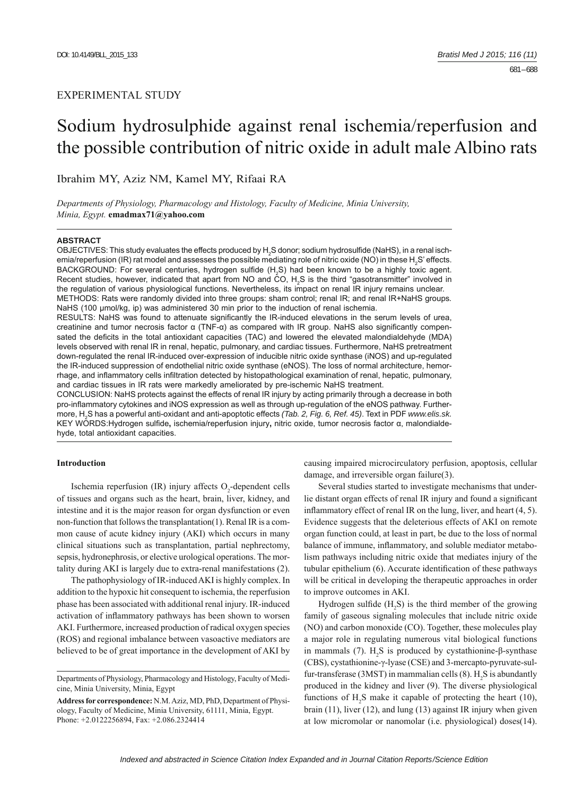# EXPERIMENTAL STUDY

# Sodium hydrosulphide against renal ischemia/reperfusion and the possible contribution of nitric oxide in adult male Albino rats

Ibrahim MY, Aziz NM, Kamel MY, Rifaai RA

*Departments of Physiology, Pharmacology and Histology, Faculty of Medicine, Minia University, Minia, Egypt.* **emadmax71@yahoo.com**

#### **ABSTRACT**

OBJECTIVES: This study evaluates the effects produced by  $\mathsf{H}_2$ S donor; sodium hydrosulfide (NaHS), in a renal ischemia/reperfusion (IR) rat model and assesses the possible mediating role of nitric oxide (NO) in these  $\rm H_2$ S' effects. BACKGROUND: For several centuries, hydrogen sulfide (H<sub>2</sub>S) had been known to be a highly toxic agent. Recent studies, however, indicated that apart from NO and CO, H<sub>2</sub>S is the third "gasotransmitter" involved in the regulation of various physiological functions. Nevertheless, its impact on renal IR injury remains unclear. METHODS: Rats were randomly divided into three groups: sham control; renal IR; and renal IR+NaHS groups*.* NaHS (100 μmol/kg, ip) was administered 30 min prior to the induction of renal ischemia. RESULTS: NaHS was found to attenuate significantly the IR-induced elevations in the serum levels of urea,

creatinine and tumor necrosis factor α (TNF-α) as compared with IR group. NaHS also significantly compensated the deficits in the total antioxidant capacities (TAC) and lowered the elevated malondialdehyde (MDA) levels observed with renal IR in renal, hepatic, pulmonary, and cardiac tissues. Furthermore, NaHS pretreatment down-regulated the renal IR-induced over-expression of inducible nitric oxide synthase (iNOS) and up-regulated the IR-induced suppression of endothelial nitric oxide synthase (eNOS). The loss of normal architecture, hemorrhage, and inflammatory cells infiltration detected by histopathological examination of renal, hepatic, pulmonary, and cardiac tissues in IR rats were markedly ameliorated by pre-ischemic NaHS treatment.

CONCLUSION: NaHS protects against the effects of renal IR injury by acting primarily through a decrease in both pro-inflammatory cytokines and iNOS expression as well as through up-regulation of the eNOS pathway. Furthermore, H2 S has a powerful anti-oxidant and anti-apoptotic effects *(Tab. 2, Fig. 6, Ref. 45)*. Text in PDF *www.elis.sk.* KEY WORDS:Hydrogen sulfi de**,** ischemia/reperfusion injury**,** nitric oxide, tumor necrosis factor α, malondialdehyde, total antioxidant capacities.

#### **Introduction**

Ischemia reperfusion (IR) injury affects  $O_2$ -dependent cells of tissues and organs such as the heart, brain, liver, kidney, and intestine and it is the major reason for organ dysfunction or even non-function that follows the transplantation(1). Renal IR is a common cause of acute kidney injury (AKI) which occurs in many clinical situations such as transplantation, partial nephrectomy, sepsis, hydronephrosis, or elective urological operations. The mortality during AKI is largely due to extra-renal manifestations (2).

The pathophysiology of IR-induced AKI is highly complex. In addition to the hypoxic hit consequent to ischemia, the reperfusion phase has been associated with additional renal injury. IR-induced activation of inflammatory pathways has been shown to worsen AKI. Furthermore, increased production of radical oxygen species (ROS) and regional imbalance between vasoactive mediators are believed to be of great importance in the development of AKI by

causing impaired microcirculatory perfusion, apoptosis, cellular damage, and irreversible organ failure(3).

Several studies started to investigate mechanisms that underlie distant organ effects of renal IR injury and found a significant inflammatory effect of renal IR on the lung, liver, and heart  $(4, 5)$ . Evidence suggests that the deleterious effects of AKI on remote organ function could, at least in part, be due to the loss of normal balance of immune, inflammatory, and soluble mediator metabolism pathways including nitric oxide that mediates injury of the tubular epithelium (6). Accurate identification of these pathways will be critical in developing the therapeutic approaches in order to improve outcomes in AKI.

Hydrogen sulfide  $(H_2S)$  is the third member of the growing family of gaseous signaling molecules that include nitric oxide (NO) and carbon monoxide (CO). Together, these molecules play a major role in regulating numerous vital biological functions in mammals (7).  $H_2S$  is produced by cystathionine-β-synthase (CBS), cystathionine-γ-lyase (CSE) and 3-mercapto-pyruvate-sulfur-transferase (3MST) in mammalian cells (8).  $H_2S$  is abundantly produced in the kidney and liver (9). The diverse physiological functions of  $H_2S$  make it capable of protecting the heart (10), brain (11), liver (12), and lung (13) against IR injury when given at low micromolar or nanomolar (i.e. physiological) doses(14).

Departments of Physiology, Pharmacology and Histology, Faculty of Medicine, Minia University, Minia, Egypt

**Address for correspondence:** N.M. Aziz, MD, PhD, Department of Physiology, Faculty of Medicine, Minia University, 61111, Minia, Egypt. Phone: +2.0122256894, Fax: +2.086.2324414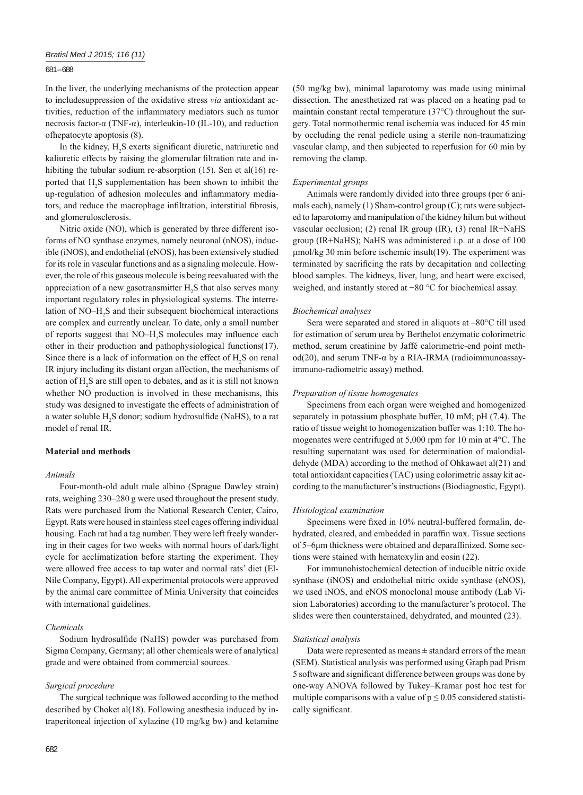# 681 – 688

In the liver, the underlying mechanisms of the protection appear to includesuppression of the oxidative stress *via* antioxidant activities, reduction of the inflammatory mediators such as tumor necrosis factor-α (TNF-α), interleukin-10 (IL-10), and reduction ofhepatocyte apoptosis (8).

In the kidney,  $H_2S$  exerts significant diuretic, natriuretic and kaliuretic effects by raising the glomerular filtration rate and inhibiting the tubular sodium re-absorption (15). Sen et al(16) reported that H<sub>2</sub>S supplementation has been shown to inhibit the up-regulation of adhesion molecules and inflammatory mediators, and reduce the macrophage infiltration, interstitial fibrosis, and glomerulosclerosis.

Nitric oxide (NO), which is generated by three different isoforms of NO synthase enzymes, namely neuronal (nNOS), inducible (iNOS), and endothelial (eNOS), has been extensively studied for its role in vascular functions and as a signaling molecule. However, the role of this gaseous molecule is being reevaluated with the appreciation of a new gasotransmitter  $H_2S$  that also serves many important regulatory roles in physiological systems. The interrelation of NO–H<sub>2</sub>S and their subsequent biochemical interactions are complex and currently unclear. To date, only a small number of reports suggest that  $NO-H<sub>2</sub>S$  molecules may influence each other in their production and pathophysiological functions(17). Since there is a lack of information on the effect of  $H_2S$  on renal IR injury including its distant organ affection, the mechanisms of action of  $H_2S$  are still open to debates, and as it is still not known whether NO production is involved in these mechanisms, this study was designed to investigate the effects of administration of a water soluble  $H_2S$  donor; sodium hydrosulfide (NaHS), to a rat model of renal IR.

# **Material and methods**

# *Animals*

Four-month-old adult male albino (Sprague Dawley strain) rats, weighing 230–280 g were used throughout the present study. Rats were purchased from the National Research Center, Cairo, Egypt. Rats were housed in stainless steel cages offering individual housing. Each rat had a tag number. They were left freely wandering in their cages for two weeks with normal hours of dark/light cycle for acclimatization before starting the experiment. They were allowed free access to tap water and normal rats' diet (El-Nile Company, Egypt). All experimental protocols were approved by the animal care committee of Minia University that coincides with international guidelines.

#### *Chemicals*

Sodium hydrosulfide (NaHS) powder was purchased from Sigma Company, Germany; all other chemicals were of analytical grade and were obtained from commercial sources.

# *Surgical procedure*

The surgical technique was followed according to the method described by Choket al(18). Following anesthesia induced by intraperitoneal injection of xylazine (10 mg/kg bw) and ketamine (50 mg/kg bw), minimal laparotomy was made using minimal dissection. The anesthetized rat was placed on a heating pad to maintain constant rectal temperature (37°C) throughout the surgery. Total normothermic renal ischemia was induced for 45 min by occluding the renal pedicle using a sterile non-traumatizing vascular clamp, and then subjected to reperfusion for 60 min by removing the clamp.

#### *Experimental groups*

Animals were randomly divided into three groups (per 6 animals each), namely (1) Sham-control group (C); rats were subjected to laparotomy and manipulation of the kidney hilum but without vascular occlusion; (2) renal IR group (IR), (3) renal IR+NaHS group (IR+NaHS); NaHS was administered i.p. at a dose of 100 μmol/kg 30 min before ischemic insult(19). The experiment was terminated by sacrificing the rats by decapitation and collecting blood samples. The kidneys, liver, lung, and heart were excised, weighed, and instantly stored at −80 °C for biochemical assay.

#### *Biochemical analyses*

Sera were separated and stored in aliquots at –80°C till used for estimation of serum urea by Berthelot enzymatic colorimetric method, serum creatinine by Jaffé calorimetric-end point method(20), and serum TNF-α by a RIA-IRMA (radioimmunoassayimmuno-radiometric assay) method.

#### *Preparation of tissue homogenates*

Specimens from each organ were weighed and homogenized separately in potassium phosphate buffer, 10 mM; pH (7.4). The ratio of tissue weight to homogenization buffer was 1:10. The homogenates were centrifuged at 5,000 rpm for 10 min at 4°C. The resulting supernatant was used for determination of malondialdehyde (MDA) according to the method of Ohkawaet al(21) and total antioxidant capacities (TAC) using colorimetric assay kit according to the manufacturer's instructions (Biodiagnostic, Egypt).

#### *Histological examination*

Specimens were fixed in 10% neutral-buffered formalin, dehydrated, cleared, and embedded in paraffin wax. Tissue sections of 5–6μm thickness were obtained and deparaffinized. Some sections were stained with hematoxylin and eosin (22).

For immunohistochemical detection of inducible nitric oxide synthase (iNOS) and endothelial nitric oxide synthase (eNOS), we used iNOS, and eNOS monoclonal mouse antibody (Lab Vision Laboratories) according to the manufacturer's protocol. The slides were then counterstained, dehydrated, and mounted (23).

#### *Statistical analysis*

Data were represented as means  $\pm$  standard errors of the mean (SEM). Statistical analysis was performed using Graph pad Prism 5 software and significant difference between groups was done by one-way ANOVA followed by Tukey–Kramar post hoc test for multiple comparisons with a value of  $p \le 0.05$  considered statistically significant.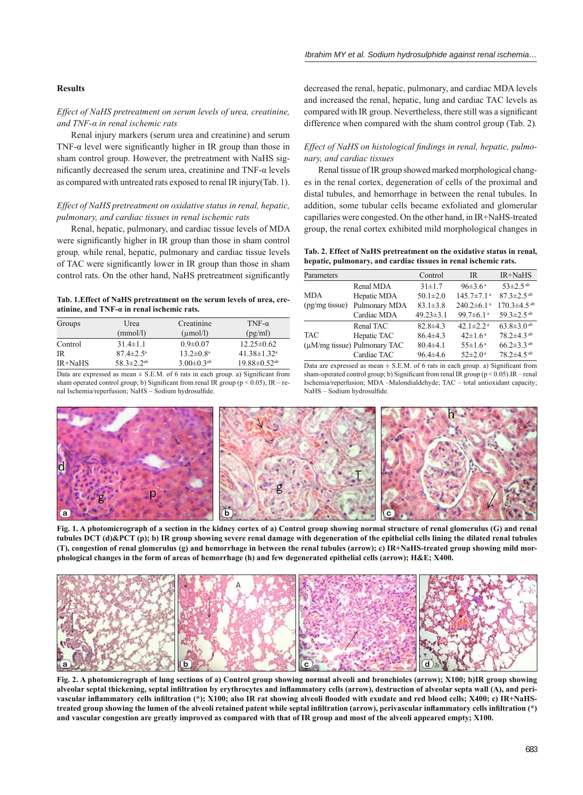# **Results**

# *Effect of NaHS pretreatment on serum levels of urea, creatinine, and TNF-α in renal ischemic rats*

Renal injury markers (serum urea and creatinine) and serum TNF- $\alpha$  level were significantly higher in IR group than those in sham control group. However, the pretreatment with NaHS significantly decreased the serum urea, creatinine and TNF- $\alpha$  levels as compared with untreated rats exposed to renal IR injury(Tab. 1).

# *Effect of NaHS pretreatment on oxidative status in renal, hepatic, pulmonary, and cardiac tissues in renal ischemic rats*

Renal, hepatic, pulmonary, and cardiac tissue levels of MDA were significantly higher in IR group than those in sham control group*,* while renal, hepatic, pulmonary and cardiac tissue levels of TAC were significantly lower in IR group than those in sham control rats. On the other hand, NaHS pretreatment significantly

#### **Tab. 1.Effect of NaHS pretreatment on the serum levels of urea, creatinine, and TNF-α in renal ischemic rats.**

| Groups    | Urea                         | Creatinine                   | TNF- $\alpha$                  |
|-----------|------------------------------|------------------------------|--------------------------------|
|           | (mmol/l)                     | $(\mu \text{mol/l})$         | (pg/ml)                        |
| Control   | $31.4 \pm 1.1$               | $0.9 \pm 0.07$               | $12.25 \pm 0.62$               |
| <b>IR</b> | $87.4 \pm 2.5^{\circ}$       | $13.2 \pm 0.8^a$             | $41.38 \pm 1.32$ <sup>a</sup>  |
| IR+NaHS   | 58.3 $\pm$ 2.2 <sup>ab</sup> | $3.00 \pm 0.3$ <sup>ab</sup> | $19.88 \pm 0.52$ <sup>ab</sup> |

Data are expressed as mean  $\pm$  S.E.M. of 6 rats in each group. a) Significant from sham operated control group; b) Significant from renal IR group (p < 0.05), IR – renal Ischemia/reperfusion; NaHS - Sodium hydrosulfide.

decreased the renal, hepatic, pulmonary, and cardiac MDA levels and increased the renal, hepatic, lung and cardiac TAC levels as compared with IR group. Nevertheless, there still was a significant difference when compared with the sham control group (Tab. 2)*.*

# Effect of NaHS on histological findings in renal, hepatic, pulmo*nary, and cardiac tissues*

Renal tissue of IR group showed marked morphological changes in the renal cortex, degeneration of cells of the proximal and distal tubules, and hemorrhage in between the renal tubules. In addition, some tubular cells became exfoliated and glomerular capillaries were congested. On the other hand, in IR+NaHS-treated group, the renal cortex exhibited mild morphological changes in

**Tab. 2. Effect of NaHS pretreatment on the oxidative status in renal, hepatic, pulmonary, and cardiac tissues in renal ischemic rats.**

| Parameters                   |                                   | Control         | <b>IR</b>                    | IR+NaHS                       |
|------------------------------|-----------------------------------|-----------------|------------------------------|-------------------------------|
|                              | Renal MDA                         | $31 \pm 1.7$    | $96\pm3.6^{\text{ a}}$       | $53 \pm 2.5$ <sup>ab</sup>    |
| <b>MDA</b><br>(pg/mg tissue) | Hepatic MDA                       | $50.1 \pm 2.0$  | $145.7 \pm 7.1$ <sup>a</sup> | $87.3 \pm 2.5$ <sup>ab</sup>  |
|                              | Pulmonary MDA                     | $83.1 \pm 3.8$  | $240.2 \pm 6.1$ <sup>a</sup> | $170.3 \pm 4.5$ <sup>ab</sup> |
|                              | Cardiac MDA                       | $49.23 \pm 3.1$ | 99.7 $\pm$ 6.1 <sup>a</sup>  | 59.3±2.5 <sup>ab</sup>        |
|                              | Renal TAC                         | $82.8 + 4.3$    | 42.1 $\pm$ 2.2 <sup>a</sup>  | 63.8 $\pm$ 3.0 <sup>ab</sup>  |
| <b>TAC</b>                   | Hepatic TAC                       | $86.4\pm4.3$    | $42 \pm 1.6^{\text{a}}$      | 78.2±4.3 <sup>ab</sup>        |
|                              | $(\mu M/mg$ tissue) Pulmonary TAC | $80.4 + 4.1$    | $55 \pm 1.6^{\text{a}}$      | 66.2 $\pm$ 3.3 ab             |
|                              | Cardiac TAC                       | $96.4 \pm 4.6$  | $52 \pm 2.0$ <sup>a</sup>    | 78.2±4.5 <sup>ab</sup>        |

Data are expressed as mean  $\pm$  S.E.M. of 6 rats in each group. a) Significant from sham-operated control group; b) Significant from renal IR group ( $p < 0.05$ ).IR – renal Ischemia/reperfusion; MDA -Malondialdehyde; TAC - total antioxidant capacity; NaHS - Sodium hydrosulfide.



**Fig. 1. A photomicrograph of a section in the kidney cortex of a) Control group showing normal structure of renal glomerulus (G) and renal tubules DCT (d)&PCT (p); b) IR group showing severe renal damage with degeneration of the epithelial cells lining the dilated renal tubules (T), congestion of renal glomerulus (g) and hemorrhage in between the renal tubules (arrow); c) IR+NaHS-treated group showing mild morphological changes in the form of areas of hemorrhage (h) and few degenerated epithelial cells (arrow); H&E; X400.**



**Fig. 2. A photomicrograph of lung sections of a) Control group showing normal alveoli and bronchioles (arrow); X100; b)IR group showing**  alveolar septal thickening, septal infiltration by erythrocytes and inflammatory cells (arrow), destruction of alveolar septa wall (A), and perivascular inflammatory cells infiltration (\*); X100; also IR rat showing alveoli flooded with exudate and red blood cells; X400; c) IR+NaHS**treated group showing the lumen of the alveoli retained patent while septal infi ltration (arrow), perivascular infl ammatory cells infi ltration (\*) and vascular congestion are greatly improved as compared with that of IR group and most of the alveoli appeared empty; X100.**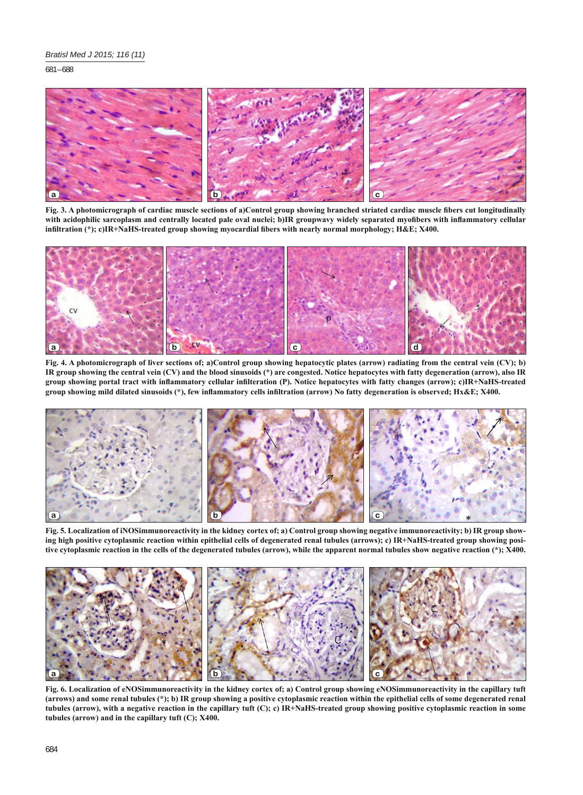681 – 688



**Fig. 3. A photomicrograph of cardiac muscle sections of a)Control group showing branched striated cardiac muscle fi bers cut longitudinally**  with acidophilic sarcoplasm and centrally located pale oval nuclei; b)IR groupwavy widely separated myofibers with inflammatory cellular **infi ltration (\*); c)IR+NaHS-treated group showing myocardial fi bers with nearly normal morphology; H&E; X400.**



**Fig. 4. A photomicrograph of liver sections of; a)Control group showing hepatocytic plates (arrow) radiating from the central vein (CV); b) IR group showing the central vein (CV) and the blood sinusoids (\*) are congested. Notice hepatocytes with fatty degeneration (arrow), also IR group showing portal tract with infl ammatory cellular infi lteration (P). Notice hepatocytes with fatty changes (arrow); c)IR+NaHS-treated group showing mild dilated sinusoids (\*), few infl ammatory cells infi ltration (arrow) No fatty degeneration is observed; Hx&E; X400.**



**Fig. 5. Localization of iNOSimmunoreactivity in the kidney cortex of; a) Control group showing negative immunoreactivity; b) IR group showing high positive cytoplasmic reaction within epithelial cells of degenerated renal tubules (arrows); c) IR+NaHS-treated group showing positive cytoplasmic reaction in the cells of the degenerated tubules (arrow), while the apparent normal tubules show negative reaction (\*); X400.**



**Fig. 6. Localization of eNOSimmunoreactivity in the kidney cortex of; a) Control group showing eNOSimmunoreactivity in the capillary tuft (arrows) and some renal tubules (\*); b) IR group showing a positive cytoplasmic reaction within the epithelial cells of some degenerated renal tubules (arrow), with a negative reaction in the capillary tuft (C); c) IR+NaHS-treated group showing positive cytoplasmic reaction in some tubules (arrow) and in the capillary tuft (C); X400.**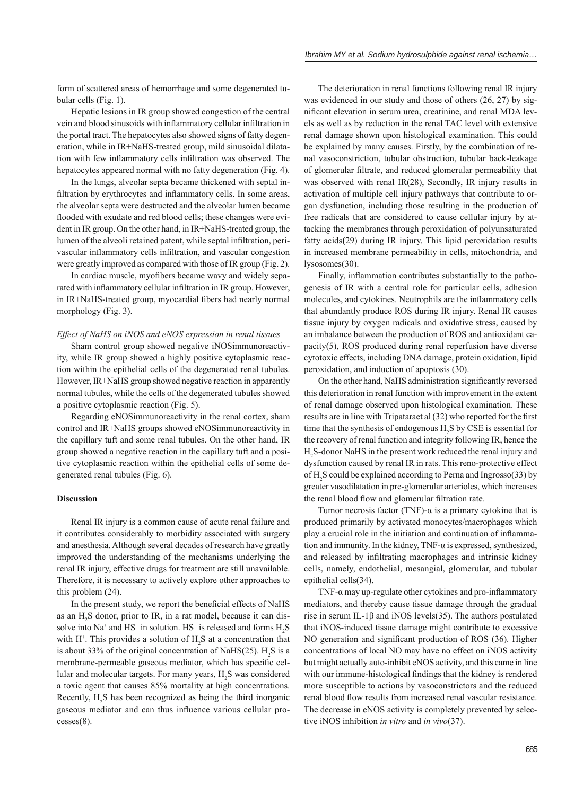form of scattered areas of hemorrhage and some degenerated tubular cells (Fig. 1).

Hepatic lesions in IR group showed congestion of the central vein and blood sinusoids with inflammatory cellular infiltration in the portal tract. The hepatocytes also showed signs of fatty degeneration, while in IR+NaHS-treated group, mild sinusoidal dilatation with few inflammatory cells infiltration was observed. The hepatocytes appeared normal with no fatty degeneration (Fig. 4).

In the lungs, alveolar septa became thickened with septal infiltration by erythrocytes and inflammatory cells. In some areas, the alveolar septa were destructed and the alveolar lumen became flooded with exudate and red blood cells; these changes were evident in IR group. On the other hand, in IR+NaHS-treated group, the lumen of the alveoli retained patent, while septal infiltration, perivascular inflammatory cells infiltration, and vascular congestion were greatly improved as compared with those of IR group (Fig. 2).

In cardiac muscle, myofibers became wavy and widely separated with inflammatory cellular infiltration in IR group. However, in IR+NaHS-treated group, myocardial fibers had nearly normal morphology (Fig. 3).

# *Effect of NaHS on iNOS and eNOS expression in renal tissues*

Sham control group showed negative iNOSimmunoreactivity, while IR group showed a highly positive cytoplasmic reaction within the epithelial cells of the degenerated renal tubules. However, IR+NaHS group showed negative reaction in apparently normal tubules, while the cells of the degenerated tubules showed a positive cytoplasmic reaction (Fig. 5).

Regarding eNOSimmunoreactivity in the renal cortex, sham control and IR+NaHS groups showed eNOSimmunoreactivity in the capillary tuft and some renal tubules. On the other hand, IR group showed a negative reaction in the capillary tuft and a positive cytoplasmic reaction within the epithelial cells of some degenerated renal tubules (Fig. 6).

#### **Discussion**

Renal IR injury is a common cause of acute renal failure and it contributes considerably to morbidity associated with surgery and anesthesia. Although several decades of research have greatly improved the understanding of the mechanisms underlying the renal IR injury, effective drugs for treatment are still unavailable. Therefore, it is necessary to actively explore other approaches to this problem **(**24).

In the present study, we report the beneficial effects of NaHS as an  $H_2S$  donor, prior to IR, in a rat model, because it can dissolve into Na<sup>+</sup> and HS<sup>-</sup> in solution. HS<sup>-</sup> is released and forms  $H_2S$ with  $H^+$ . This provides a solution of  $H_2S$  at a concentration that is about 33% of the original concentration of NaHS $(25)$ . H<sub>2</sub>S is a membrane-permeable gaseous mediator, which has specific cellular and molecular targets. For many years,  $H_2S$  was considered a toxic agent that causes 85% mortality at high concentrations. Recently, H<sub>2</sub>S has been recognized as being the third inorganic gaseous mediator and can thus influence various cellular processes(8).

The deterioration in renal functions following renal IR injury was evidenced in our study and those of others (26, 27) by significant elevation in serum urea, creatinine, and renal MDA levels as well as by reduction in the renal TAC level with extensive renal damage shown upon histological examination. This could be explained by many causes. Firstly, by the combination of renal vasoconstriction, tubular obstruction, tubular back-leakage of glomerular filtrate, and reduced glomerular permeability that was observed with renal IR(28), Secondly, IR injury results in activation of multiple cell injury pathways that contribute to organ dysfunction, including those resulting in the production of free radicals that are considered to cause cellular injury by attacking the membranes through peroxidation of polyunsaturated fatty acids**(**29) during IR injury. This lipid peroxidation results in increased membrane permeability in cells, mitochondria, and lysosomes(30).

Finally, inflammation contributes substantially to the pathogenesis of IR with a central role for particular cells, adhesion molecules, and cytokines. Neutrophils are the inflammatory cells that abundantly produce ROS during IR injury. Renal IR causes tissue injury by oxygen radicals and oxidative stress, caused by an imbalance between the production of ROS and antioxidant capacity(5), ROS produced during renal reperfusion have diverse cytotoxic effects, including DNA damage, protein oxidation, lipid peroxidation, and induction of apoptosis (30).

On the other hand, NaHS administration significantly reversed this deterioration in renal function with improvement in the extent of renal damage observed upon histological examination. These results are in line with Tripataraet al (32) who reported for the first time that the synthesis of endogenous  $H_2S$  by CSE is essential for the recovery of renal function and integrity following IR, hence the H2 S-donor NaHS in the present work reduced the renal injury and dysfunction caused by renal IR in rats. This reno-protective effect of H<sub>2</sub>S could be explained according to Perna and Ingrosso(33) by greater vasodilatation in pre-glomerular arterioles, which increases the renal blood flow and glomerular filtration rate.

Tumor necrosis factor (TNF)- $\alpha$  is a primary cytokine that is produced primarily by activated monocytes/macrophages which play a crucial role in the initiation and continuation of inflammation and immunity. In the kidney, TNF-α is expressed, synthesized, and released by infiltrating macrophages and intrinsic kidney cells, namely, endothelial, mesangial, glomerular, and tubular epithelial cells(34).

TNF- $\alpha$  may up-regulate other cytokines and pro-inflammatory mediators, and thereby cause tissue damage through the gradual rise in serum IL-1β and iNOS levels(35). The authors postulated that iNOS-induced tissue damage might contribute to excessive NO generation and significant production of ROS (36). Higher concentrations of local NO may have no effect on iNOS activity but might actually auto-inhibit eNOS activity, and this came in line with our immune-histological findings that the kidney is rendered more susceptible to actions by vasoconstrictors and the reduced renal blood flow results from increased renal vascular resistance. The decrease in eNOS activity is completely prevented by selective iNOS inhibition *in vitro* and *in vivo*(37).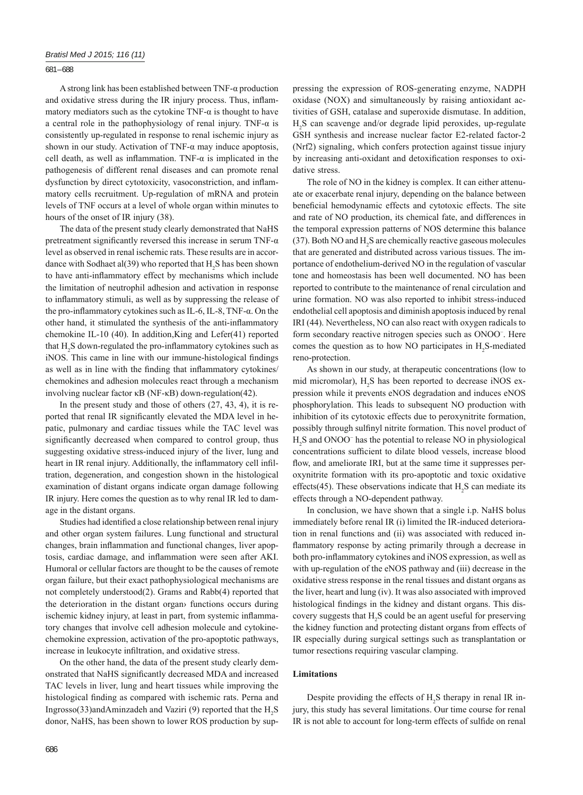### 681 – 688

A strong link has been established between TNF-α production and oxidative stress during the IR injury process. Thus, inflammatory mediators such as the cytokine TNF- $\alpha$  is thought to have a central role in the pathophysiology of renal injury. TNF-α is consistently up-regulated in response to renal ischemic injury as shown in our study. Activation of TNF- $\alpha$  may induce apoptosis, cell death, as well as inflammation. TNF- $\alpha$  is implicated in the pathogenesis of different renal diseases and can promote renal dysfunction by direct cytotoxicity, vasoconstriction, and inflammatory cells recruitment. Up-regulation of mRNA and protein levels of TNF occurs at a level of whole organ within minutes to hours of the onset of IR injury (38).

The data of the present study clearly demonstrated that NaHS pretreatment significantly reversed this increase in serum TNF- $\alpha$ level as observed in renal ischemic rats. These results are in accordance with Sodhaet al(39) who reported that  $H_2S$  has been shown to have anti-inflammatory effect by mechanisms which include the limitation of neutrophil adhesion and activation in response to inflammatory stimuli, as well as by suppressing the release of the pro-inflammatory cytokines such as IL-6, IL-8, TNF- $\alpha$ . On the other hand, it stimulated the synthesis of the anti-inflammatory chemokine IL-10 (40). In addition,King and Lefer(41) reported that  $H_2S$  down-regulated the pro-inflammatory cytokines such as iNOS. This came in line with our immune-histological findings as well as in line with the finding that inflammatory cytokines/ chemokines and adhesion molecules react through a mechanism involving nuclear factor κB (NF-κB) down-regulation(42).

In the present study and those of others (27, 43, 4), it is reported that renal IR significantly elevated the MDA level in hepatic, pulmonary and cardiac tissues while the TAC level was significantly decreased when compared to control group, thus suggesting oxidative stress-induced injury of the liver, lung and heart in IR renal injury. Additionally, the inflammatory cell infiltration, degeneration, and congestion shown in the histological examination of distant organs indicate organ damage following IR injury. Here comes the question as to why renal IR led to damage in the distant organs.

Studies had identified a close relationship between renal injury and other organ system failures. Lung functional and structural changes, brain inflammation and functional changes, liver apoptosis, cardiac damage, and inflammation were seen after AKI. Humoral or cellular factors are thought to be the causes of remote organ failure, but their exact pathophysiological mechanisms are not completely understood(2). Grams and Rabb(4) reported that the deterioration in the distant organ› functions occurs during ischemic kidney injury, at least in part, from systemic inflammatory changes that involve cell adhesion molecule and cytokinechemokine expression, activation of the pro-apoptotic pathways, increase in leukocyte infiltration, and oxidative stress.

On the other hand, the data of the present study clearly demonstrated that NaHS significantly decreased MDA and increased TAC levels in liver, lung and heart tissues while improving the histological finding as compared with ischemic rats. Perna and Ingrosso(33)andAminzadeh and Vaziri (9) reported that the  $H_2S$ donor, NaHS, has been shown to lower ROS production by suppressing the expression of ROS-generating enzyme, NADPH oxidase (NOX) and simultaneously by raising antioxidant activities of GSH, catalase and superoxide dismutase. In addition, H2 S can scavenge and/or degrade lipid peroxides, up-regulate GSH synthesis and increase nuclear factor E2-related factor-2 (Nrf2) signaling, which confers protection against tissue injury by increasing anti-oxidant and detoxification responses to oxidative stress.

The role of NO in the kidney is complex. It can either attenuate or exacerbate renal injury, depending on the balance between beneficial hemodynamic effects and cytotoxic effects. The site and rate of NO production, its chemical fate, and differences in the temporal expression patterns of NOS determine this balance (37). Both NO and  $H_2S$  are chemically reactive gaseous molecules that are generated and distributed across various tissues. The importance of endothelium-derived NO in the regulation of vascular tone and homeostasis has been well documented. NO has been reported to contribute to the maintenance of renal circulation and urine formation. NO was also reported to inhibit stress-induced endothelial cell apoptosis and diminish apoptosis induced by renal IRI (44). Nevertheless, NO can also react with oxygen radicals to form secondary reactive nitrogen species such as ONOO<sup>−</sup> . Here comes the question as to how NO participates in  $H_2S$ -mediated reno-protection.

As shown in our study, at therapeutic concentrations (low to mid micromolar),  $H_2S$  has been reported to decrease iNOS expression while it prevents eNOS degradation and induces eNOS phosphorylation. This leads to subsequent NO production with inhibition of its cytotoxic effects due to peroxynitrite formation, possibly through sulfinyl nitrite formation. This novel product of H<sub>2</sub>S and ONOO<sup>−</sup> has the potential to release NO in physiological concentrations sufficient to dilate blood vessels, increase blood flow, and ameliorate IRI, but at the same time it suppresses peroxynitrite formation with its pro-apoptotic and toxic oxidative effects(45). These observations indicate that  $H_2S$  can mediate its effects through a NO-dependent pathway.

In conclusion, we have shown that a single i.p. NaHS bolus immediately before renal IR (i) limited the IR-induced deterioration in renal functions and (ii) was associated with reduced inflammatory response by acting primarily through a decrease in both pro-inflammatory cytokines and iNOS expression, as well as with up-regulation of the eNOS pathway and (iii) decrease in the oxidative stress response in the renal tissues and distant organs as the liver, heart and lung (iv). It was also associated with improved histological findings in the kidney and distant organs. This discovery suggests that  $H_2S$  could be an agent useful for preserving the kidney function and protecting distant organs from effects of IR especially during surgical settings such as transplantation or tumor resections requiring vascular clamping.

#### **Limitations**

Despite providing the effects of  $H_2S$  therapy in renal IR injury, this study has several limitations. Our time course for renal IR is not able to account for long-term effects of sulfide on renal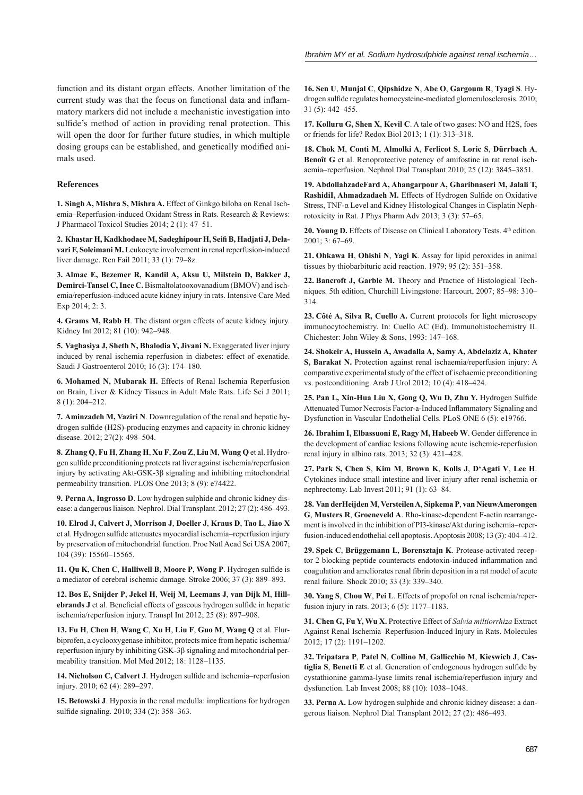function and its distant organ effects. Another limitation of the current study was that the focus on functional data and inflammatory markers did not include a mechanistic investigation into sulfide's method of action in providing renal protection. This will open the door for further future studies, in which multiple dosing groups can be established, and genetically modified animals used.

# **References**

**1. Singh A, Mishra S, Mishra A.** Effect of Ginkgo biloba on Renal Ischemia–Reperfusion-induced Oxidant Stress in Rats. Research & Reviews: J Pharmacol Toxicol Studies 2014; 2 (1): 47–51.

**2. Khastar H, Kadkhodaee M, Sadeghipour H, Seifi B, Hadjati J, Delavari F, Soleimani M.** Leukocyte involvement in renal reperfusion-induced liver damage. Ren Fail 2011; 33 (1): 79–8z.

**3. Almac E, Bezemer R, Kandil A, Aksu U, Milstein D, Bakker J, Demirci-Tansel C, Ince C.** Bismaltolatooxovanadium (BMOV) and ischemia/reperfusion-induced acute kidney injury in rats. Intensive Care Med Exp 2014; 2: 3.

**4. Grams M, Rabb H**. The distant organ effects of acute kidney injury. Kidney Int 2012; 81 (10): 942–948.

**5. Vaghasiya J, Sheth N, Bhalodia Y, Jivani N.** Exaggerated liver injury induced by renal ischemia reperfusion in diabetes: effect of exenatide. Saudi J Gastroenterol 2010; 16 (3): 174–180.

**6. Mohamed N, Mubarak H.** Effects of Renal Ischemia Reperfusion on Brain, Liver & Kidney Tissues in Adult Male Rats. Life Sci J 2011; 8 (1): 204–212.

**7. Aminzadeh M, Vaziri N**. Downregulation of the renal and hepatic hydrogen sulfide (H2S)-producing enzymes and capacity in chronic kidney disease. 2012; 27(2): 498–504.

**8. Zhang Q**, **Fu H**, **Zhang H**, **Xu F**, **Zou Z**, **Liu M**, **Wang Q** et al. Hydrogen sulfide preconditioning protects rat liver against ischemia/reperfusion injury by activating Akt-GSK-3β signaling and inhibiting mitochondrial permeability transition. PLOS One 2013; 8 (9): e74422.

**9. Perna A**, **Ingrosso D**. Low hydrogen sulphide and chronic kidney disease: a dangerous liaison. Nephrol. Dial Transplant. 2012; 27 (2): 486–493.

**10. Elrod J, Calvert J, Morrison J**, **Doeller J**, **Kraus D**, **Tao L**, **Jiao X** et al. Hydrogen sulfide attenuates myocardial ischemia-reperfusion injury by preservation of mitochondrial function. Proc Natl Acad Sci USA 2007; 104 (39): 15560–15565.

11. Qu K, Chen C, Halliwell B, Moore P, Wong P. Hydrogen sulfide is a mediator of cerebral ischemic damage. Stroke 2006; 37 (3): 889–893.

**12. Bos E, Snijder P**, **Jekel H**, **Weij M**, **Leemans J**, **van Dijk M**, **Hillebrands J** et al. Beneficial effects of gaseous hydrogen sulfide in hepatic ischemia/reperfusion injury. Transpl Int 2012; 25 (8): 897–908.

**13. Fu H**, **Chen H**, **Wang C**, **Xu H**, **Liu F**, **Guo M**, **Wang Q** et al. Flurbiprofen, a cyclooxygenase inhibitor, protects mice from hepatic ischemia/ reperfusion injury by inhibiting GSK-3β signaling and mitochondrial permeability transition. Mol Med 2012; 18: 1128–1135.

14. Nicholson C, Calvert J. Hydrogen sulfide and ischemia-reperfusion injury. 2010; 62 (4): 289–297.

**15. Betowski J**. Hypoxia in the renal medulla: implications for hydrogen sulfide signaling. 2010; 334 (2): 358-363.

**16. Sen U**, **Munjal C**, **Qipshidze N**, **Abe O**, **Gargoum R**, **Tyagi S**. Hydrogen sulfide regulates homocysteine-mediated glomerulosclerosis. 2010: 31 (5): 442–455.

**17. Kolluru G, Shen X**, **Kevil C**. A tale of two gases: NO and H2S, foes or friends for life? Redox Biol 2013; 1 (1): 313–318.

**18. Chok M**, **Conti M**, **Almolki A**, **Ferlicot S**, **Loric S**, **Dürrbach A**, **Benoît G** et al. Renoprotective potency of amifostine in rat renal ischaemia–reperfusion. Nephrol Dial Transplant 2010; 25 (12): 3845–3851.

**19. AbdollahzadeFard A, Ahangarpour A, Gharibnaseri M, Jalali T,**  RashidiI, Ahmadzadaeh M. Effects of Hydrogen Sulfide on Oxidative Stress, TNF-α Level and Kidney Histological Changes in Cisplatin Nephrotoxicity in Rat. J Phys Pharm Adv 2013; 3 (3): 57–65.

20. Young D. Effects of Disease on Clinical Laboratory Tests. 4<sup>th</sup> edition. 2001; 3: 67–69.

**21. Ohkawa H**, **Ohishi N**, **Yagi K**. Assay for lipid peroxides in animal tissues by thiobarbituric acid reaction. 1979; 95 (2): 351–358.

**22. Bancroft J, Garble M.** Theory and Practice of Histological Techniques. 5th edition, Churchill Livingstone: Harcourt, 2007; 85–98: 310– 314.

**23. Côté A, Silva R, Cuello A.** Current protocols for light microscopy immunocytochemistry. In: Cuello AC (Ed). Immunohistochemistry II. Chichester: John Wiley & Sons, 1993: 147–168.

**24. Shokeir A, Hussein A, Awadalla A, Samy A, Abdelaziz A, Khater S, Barakat N.** Protection against renal ischaemia/reperfusion injury: A comparative experimental study of the effect of ischaemic preconditioning vs. postconditioning. Arab J Urol 2012; 10 (4): 418–424.

25. Pan L, Xin-Hua Liu X, Gong Q, Wu D, Zhu Y. Hydrogen Sulfide Attenuated Tumor Necrosis Factor-a-Induced Inflammatory Signaling and Dysfunction in Vascular Endothelial Cells. PLoS ONE 6 (5): e19766.

**26. Ibrahim I, Elbassuoni E, Ragy M, Habeeb W**. Gender difference in the development of cardiac lesions following acute ischemic-reperfusion renal injury in albino rats. 2013; 32 (3): 421–428.

**27. Park S, Chen S**, **Kim M**, **Brown K**, **Kolls J**, **D'Agati V**, **Lee H**. Cytokines induce small intestine and liver injury after renal ischemia or nephrectomy. Lab Invest 2011; 91 (1): 63–84.

**28. Van derHeijden M**, **Versteilen A**, **Sipkema P**, **van NieuwAmerongen G**, **Musters R**, **Groeneveld A**. Rho-kinase-dependent F-actin rearrangement is involved in the inhibition of PI3-kinase/Akt during ischemia–reperfusion-induced endothelial cell apoptosis. Apoptosis 2008; 13 (3): 404–412.

**29. Spek C**, **Brüggemann L**, **Borensztajn K**. Protease-activated receptor 2 blocking peptide counteracts endotoxin-induced inflammation and coagulation and ameliorates renal fibrin deposition in a rat model of acute renal failure. Shock 2010; 33 (3): 339–340.

**30. Yang S**, **Chou W**, **Pei L**. Effects of propofol on renal ischemia/reperfusion injury in rats. 2013; 6 (5): 1177–1183.

**31. Chen G, Fu Y, Wu X.** Protective Effect of *Salvia miltiorrhiza* Extract Against Renal Ischemia–Reperfusion-Induced Injury in Rats. Molecules 2012; 17 (2): 1191–1202.

**32. Tripatara P**, **Patel N**, **Collino M**, **Gallicchio M**, **Kieswich J**, **Castiglia S**, **Benetti E** et al. Generation of endogenous hydrogen sulfide by cystathionine gamma-lyase limits renal ischemia/reperfusion injury and dysfunction. Lab Invest 2008; 88 (10): 1038–1048.

**33. Perna A.** Low hydrogen sulphide and chronic kidney disease: a dangerous liaison. Nephrol Dial Transplant 2012; 27 (2): 486–493.